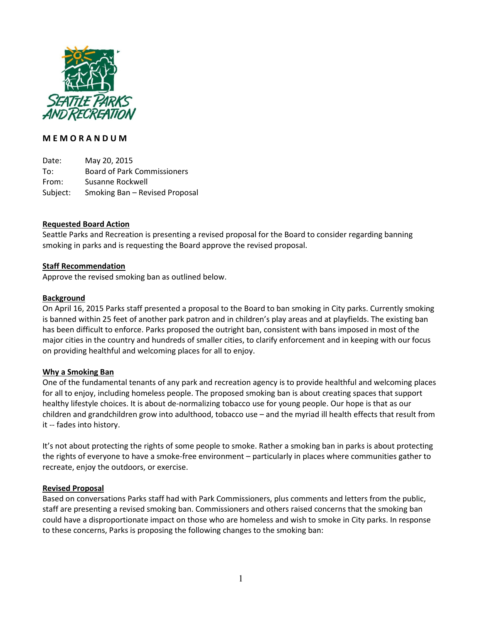

# M E M O R A N D U M

Date: May 20, 2015 To: Board of Park Commissioners From: Susanne Rockwell Subject: Smoking Ban – Revised Proposal

## Requested Board Action

Seattle Parks and Recreation is presenting a revised proposal for the Board to consider regarding banning smoking in parks and is requesting the Board approve the revised proposal.

#### Staff Recommendation

Approve the revised smoking ban as outlined below.

#### **Background**

On April 16, 2015 Parks staff presented a proposal to the Board to ban smoking in City parks. Currently smoking is banned within 25 feet of another park patron and in children's play areas and at playfields. The existing ban has been difficult to enforce. Parks proposed the outright ban, consistent with bans imposed in most of the major cities in the country and hundreds of smaller cities, to clarify enforcement and in keeping with our focus on providing healthful and welcoming places for all to enjoy.

## Why a Smoking Ban

One of the fundamental tenants of any park and recreation agency is to provide healthful and welcoming places for all to enjoy, including homeless people. The proposed smoking ban is about creating spaces that support healthy lifestyle choices. It is about de-normalizing tobacco use for young people. Our hope is that as our children and grandchildren grow into adulthood, tobacco use – and the myriad ill health effects that result from it -- fades into history.

It's not about protecting the rights of some people to smoke. Rather a smoking ban in parks is about protecting the rights of everyone to have a smoke-free environment – particularly in places where communities gather to recreate, enjoy the outdoors, or exercise.

#### Revised Proposal

Based on conversations Parks staff had with Park Commissioners, plus comments and letters from the public, staff are presenting a revised smoking ban. Commissioners and others raised concerns that the smoking ban could have a disproportionate impact on those who are homeless and wish to smoke in City parks. In response to these concerns, Parks is proposing the following changes to the smoking ban: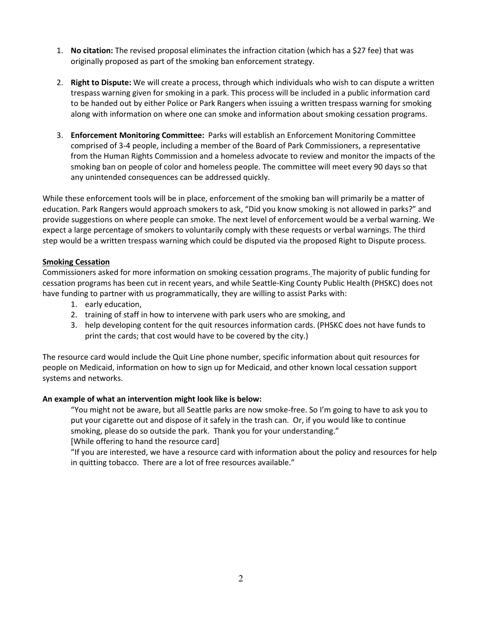- 1. No citation: The revised proposal eliminates the infraction citation (which has a \$27 fee) that was originally proposed as part of the smoking ban enforcement strategy.
- 2. Right to Dispute: We will create a process, through which individuals who wish to can dispute a written trespass warning given for smoking in a park. This process will be included in a public information card to be handed out by either Police or Park Rangers when issuing a written trespass warning for smoking along with information on where one can smoke and information about smoking cessation programs.
- 3. Enforcement Monitoring Committee: Parks will establish an Enforcement Monitoring Committee comprised of 3-4 people, including a member of the Board of Park Commissioners, a representative from the Human Rights Commission and a homeless advocate to review and monitor the impacts of the smoking ban on people of color and homeless people. The committee will meet every 90 days so that any unintended consequences can be addressed quickly.

While these enforcement tools will be in place, enforcement of the smoking ban will primarily be a matter of education. Park Rangers would approach smokers to ask, "Did you know smoking is not allowed in parks?" and provide suggestions on where people can smoke. The next level of enforcement would be a verbal warning. We expect a large percentage of smokers to voluntarily comply with these requests or verbal warnings. The third step would be a written trespass warning which could be disputed via the proposed Right to Dispute process.

# **Smoking Cessation**

Commissioners asked for more information on smoking cessation programs. The majority of public funding for cessation programs has been cut in recent years, and while Seattle-King County Public Health (PHSKC) does not have funding to partner with us programmatically, they are willing to assist Parks with:

- 1. early education,
- 2. training of staff in how to intervene with park users who are smoking, and
- 3. help developing content for the quit resources information cards. (PHSKC does not have funds to print the cards; that cost would have to be covered by the city.)

The resource card would include the Quit Line phone number, specific information about quit resources for people on Medicaid, information on how to sign up for Medicaid, and other known local cessation support systems and networks.

## An example of what an intervention might look like is below:

"You might not be aware, but all Seattle parks are now smoke-free. So I'm going to have to ask you to put your cigarette out and dispose of it safely in the trash can. Or, if you would like to continue smoking, please do so outside the park. Thank you for your understanding."

[While offering to hand the resource card]

"If you are interested, we have a resource card with information about the policy and resources for help in quitting tobacco. There are a lot of free resources available."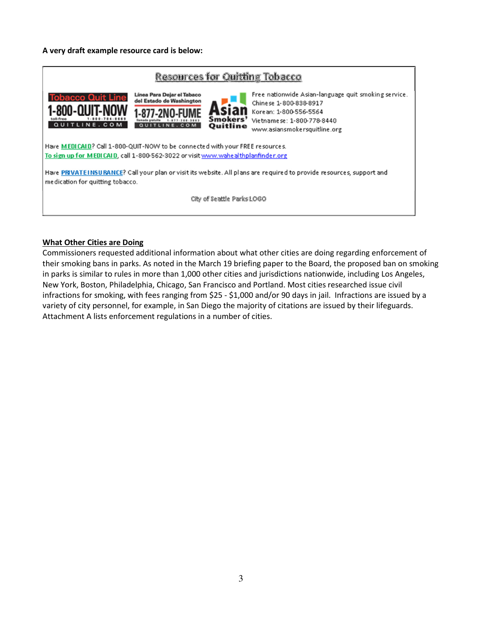## A very draft example resource card is below:



#### What Other Cities are Doing

Commissioners requested additional information about what other cities are doing regarding enforcement of their smoking bans in parks. As noted in the March 19 briefing paper to the Board, the proposed ban on smoking in parks is similar to rules in more than 1,000 other cities and jurisdictions nationwide, including Los Angeles, New York, Boston, Philadelphia, Chicago, San Francisco and Portland. Most cities researched issue civil infractions for smoking, with fees ranging from \$25 - \$1,000 and/or 90 days in jail. Infractions are issued by a variety of city personnel, for example, in San Diego the majority of citations are issued by their lifeguards. Attachment A lists enforcement regulations in a number of cities.